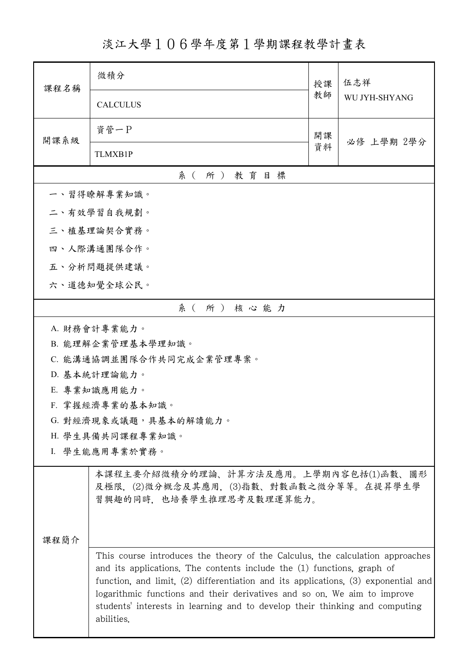淡江大學106學年度第1學期課程教學計畫表

| 課程名稱 | 微積分                                                                                                                                                                                                                                                                                                                                                                                                                        | 授課 | 伍志祥<br>WU JYH-SHYANG |  |  |  |
|------|----------------------------------------------------------------------------------------------------------------------------------------------------------------------------------------------------------------------------------------------------------------------------------------------------------------------------------------------------------------------------------------------------------------------------|----|----------------------|--|--|--|
|      | <b>CALCULUS</b>                                                                                                                                                                                                                                                                                                                                                                                                            | 教師 |                      |  |  |  |
| 開課系級 | 資管一P                                                                                                                                                                                                                                                                                                                                                                                                                       | 開課 | 必修 上學期 2學分           |  |  |  |
|      | TLMXB1P                                                                                                                                                                                                                                                                                                                                                                                                                    | 資料 |                      |  |  |  |
|      | 系(所)教育目標                                                                                                                                                                                                                                                                                                                                                                                                                   |    |                      |  |  |  |
|      | 一、習得瞭解專業知識。                                                                                                                                                                                                                                                                                                                                                                                                                |    |                      |  |  |  |
|      | 二、有效學習自我規劃。                                                                                                                                                                                                                                                                                                                                                                                                                |    |                      |  |  |  |
|      | 三、植基理論契合實務。                                                                                                                                                                                                                                                                                                                                                                                                                |    |                      |  |  |  |
|      | 四、人際溝通團隊合作。                                                                                                                                                                                                                                                                                                                                                                                                                |    |                      |  |  |  |
|      | 五、分析問題提供建議。                                                                                                                                                                                                                                                                                                                                                                                                                |    |                      |  |  |  |
|      | 六、道德知覺全球公民。                                                                                                                                                                                                                                                                                                                                                                                                                |    |                      |  |  |  |
|      | 系(所)核心能力                                                                                                                                                                                                                                                                                                                                                                                                                   |    |                      |  |  |  |
|      | A. 財務會計專業能力。                                                                                                                                                                                                                                                                                                                                                                                                               |    |                      |  |  |  |
|      | B. 能理解企業管理基本學理知識。                                                                                                                                                                                                                                                                                                                                                                                                          |    |                      |  |  |  |
|      | C. 能溝通協調並團隊合作共同完成企業管理專案。                                                                                                                                                                                                                                                                                                                                                                                                   |    |                      |  |  |  |
|      | D. 基本統計理論能力。                                                                                                                                                                                                                                                                                                                                                                                                               |    |                      |  |  |  |
|      | E. 專業知識應用能力。<br>F. 掌握經濟專業的基本知識。                                                                                                                                                                                                                                                                                                                                                                                            |    |                      |  |  |  |
|      | G. 對經濟現象或議題,具基本的解讀能力。                                                                                                                                                                                                                                                                                                                                                                                                      |    |                      |  |  |  |
|      | H. 學生具備共同課程專業知識。                                                                                                                                                                                                                                                                                                                                                                                                           |    |                      |  |  |  |
|      | I. 學生能應用專業於實務。                                                                                                                                                                                                                                                                                                                                                                                                             |    |                      |  |  |  |
|      | 本課程主要介紹微積分的理論、計算方法及應用。上學期內容包括(1)函數、圖形<br>及極限, (2)微分概念及其應用, (3)指數、對數函數之微分等等。在提昇學生學<br>習興趣的同時,也培養學生推理思考及數理運算能力。                                                                                                                                                                                                                                                                                                              |    |                      |  |  |  |
| 课程简介 |                                                                                                                                                                                                                                                                                                                                                                                                                            |    |                      |  |  |  |
|      | This course introduces the theory of the Calculus, the calculation approaches<br>and its applications. The contents include the (1) functions, graph of<br>function, and limit, $(2)$ differentiation and its applications, $(3)$ exponential and<br>logarithmic functions and their derivatives and so on. We aim to improve<br>students' interests in learning and to develop their thinking and computing<br>abilities. |    |                      |  |  |  |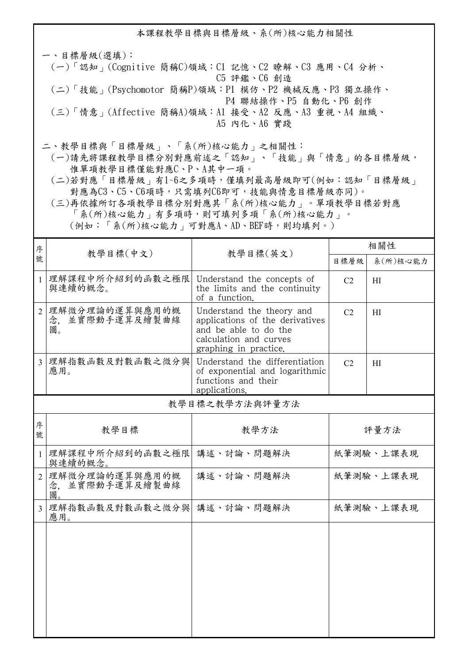本課程教學目標與目標層級、系(所)核心能力相關性

一、目標層級(選填): (一)「認知」(Cognitive 簡稱C)領域:C1 記憶、C2 瞭解、C3 應用、C4 分析、 C5 評鑑、C6 創造 (二)「技能」(Psychomotor 簡稱P)領域:P1 模仿、P2 機械反應、P3 獨立操作、 P4 聯結操作、P5 自動化、P6 創作 (三)「情意」(Affective 簡稱A)領域:A1 接受、A2 反應、A3 重視、A4 組織、 A5 內化、A6 實踐

二、教學目標與「目標層級」、「系(所)核心能力」之相關性:

 (一)請先將課程教學目標分別對應前述之「認知」、「技能」與「情意」的各目標層級, 惟單項教學目標僅能對應C、P、A其中一項。

 (二)若對應「目標層級」有1~6之多項時,僅填列最高層級即可(例如:認知「目標層級」 對應為C3、C5、C6項時,只需填列C6即可,技能與情意目標層級亦同)。

 (三)再依據所訂各項教學目標分別對應其「系(所)核心能力」。單項教學目標若對應 「系(所)核心能力」有多項時,則可填列多項「系(所)核心能力」。 (例如:「系(所)核心能力」可對應A、AD、BEF時,則均填列。)

| 序              |                                            |                                                                                                                                          | 相關性                  |           |
|----------------|--------------------------------------------|------------------------------------------------------------------------------------------------------------------------------------------|----------------------|-----------|
| 號              | 教學目標(中文)<br>教學目標(英文)                       |                                                                                                                                          | 目標層級                 | 系(所)核心能力  |
| $\mathbf{1}$   | 理解課程中所介紹到的函數之極限<br>與連續的概念。                 | Understand the concepts of<br>the limits and the continuity<br>of a function.                                                            | C <sub>2</sub><br>H1 |           |
| $\overline{2}$ | 理解微分理論的運算與應用的概<br>並實際動手運算及繪製曲線<br>念.<br>圖。 | Understand the theory and<br>applications of the derivatives<br>and be able to do the<br>calculation and curves<br>graphing in practice. | C <sub>2</sub>       | H1        |
| $\overline{3}$ | 理解指數函數及對數函數之微分與<br>應用。                     | Understand the differentiation<br>of exponential and logarithmic<br>functions and their<br>applications.                                 | C <sub>2</sub>       | H1        |
|                |                                            | 教學目標之教學方法與評量方法                                                                                                                           |                      |           |
| 序<br>號         | 教學目標                                       | 教學方法                                                                                                                                     | 評量方法                 |           |
| $\mathbf{1}$   | 理解課程中所介紹到的函數之極限<br>與連續的概念。                 | 講述、討論、問題解決                                                                                                                               | 紙筆測驗、上課表現            |           |
| $\overline{2}$ | 理解微分理論的運算與應用的概<br>並實際動手運算及繪製曲線<br>念.<br>圖  | 講述、討論、問題解決                                                                                                                               | 紙筆測驗、上課表現            |           |
| $\overline{3}$ | 理解指數函數及對數函數之微分與<br>應用。                     | 講述、討論、問題解決                                                                                                                               |                      | 紙筆測驗、上課表現 |
|                |                                            |                                                                                                                                          |                      |           |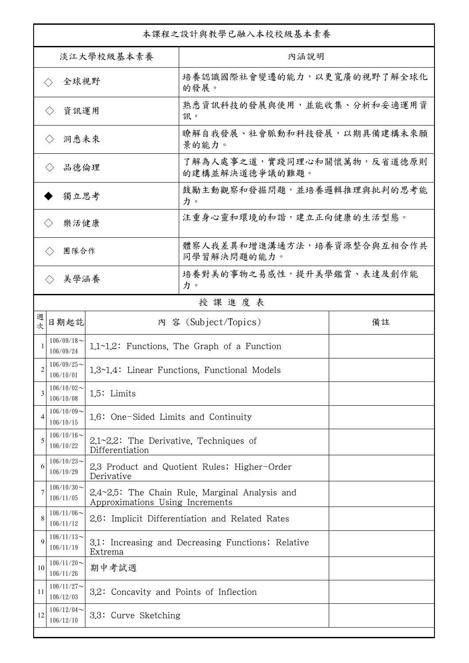| 本課程之設計與教學已融入本校校級基本素養        |                               |                                                                                   |                                                    |    |  |
|-----------------------------|-------------------------------|-----------------------------------------------------------------------------------|----------------------------------------------------|----|--|
| 淡江大學校級基本素養                  |                               |                                                                                   | 內涵說明                                               |    |  |
| 全球視野<br>$\langle \ \rangle$ |                               |                                                                                   | 培養認識國際社會變遷的能力,以更寬廣的視野了解全球化<br>的發展。                 |    |  |
| 資訊運用<br>$\langle \ \rangle$ |                               |                                                                                   | 熟悉資訊科技的發展與使用,並能收集、分析和妥適運用資<br>訊。                   |    |  |
| 洞悉未來<br>$\langle \ \rangle$ |                               |                                                                                   | 瞭解自我發展、社會脈動和科技發展,以期具備建構未來願<br>景的能力。                |    |  |
| 品德倫理                        |                               |                                                                                   | 了解為人處事之道,實踐同理心和關懷萬物,反省道德原則<br>的建構並解決道德爭議的難題。       |    |  |
| 獨立思考                        |                               |                                                                                   | 鼓勵主動觀察和發掘問題,並培養邏輯推理與批判的思考能<br>力。                   |    |  |
| 樂活健康                        |                               |                                                                                   | 注重身心靈和環境的和諧,建立正向健康的生活型態。                           |    |  |
| 團隊合作<br>$\langle \ \rangle$ |                               |                                                                                   | 體察人我差異和增進溝通方法,培養資源整合與互相合作共<br>同學習解決問題的能力。          |    |  |
|                             | 美學涵養<br>$\langle \rangle$     |                                                                                   | 培養對美的事物之易感性,提升美學鑑賞、表達及創作能<br>力。                    |    |  |
|                             |                               |                                                                                   | 授課進度表                                              |    |  |
| 週<br>欤                      | 日期起訖                          |                                                                                   | 内 容 (Subject/Topics)                               | 備註 |  |
|                             | $106/09/18$ ~<br>106/09/24    |                                                                                   | 1.1~1.2: Functions, The Graph of a Function        |    |  |
| 2                           | $106/09/25$ ~<br>106/10/01    |                                                                                   | 1.3~1.4: Linear Functions, Functional Models       |    |  |
| 3                           | $106/10/02$ ~<br>106/10/08    | 1.5: Limits                                                                       |                                                    |    |  |
| 4                           | $106/10/09$ ~<br>106/10/15    | 1.6: One-Sided Limits and Continuity                                              |                                                    |    |  |
| 5                           | $106/10/16 \sim$<br>106/10/22 | $2.1 - 2.2$ : The Derivative, Techniques of<br>Differentiation                    |                                                    |    |  |
| 6                           | $106/10/23$ ~<br>106/10/29    | 2.3 Product and Quotient Rules; Higher-Order<br>Derivative                        |                                                    |    |  |
|                             | $106/10/30$ ~<br>106/11/05    | 2.4~2.5: The Chain Rule, Marginal Analysis and<br>Approximations Using Increments |                                                    |    |  |
| 8                           | $106/11/06 \sim$<br>106/11/12 |                                                                                   | 2.6: Implicit Differentiation and Related Rates    |    |  |
| 9                           | $106/11/13$ ~<br>106/11/19    | Extrema                                                                           | 3.1: Increasing and Decreasing Functions; Relative |    |  |
| 10                          | $106/11/20$ ~<br>106/11/26    | 期中考試週                                                                             |                                                    |    |  |
| 11                          | $106/11/27$ ~<br>106/12/03    | 3.2: Concavity and Points of Inflection                                           |                                                    |    |  |
| 12                          | $106/12/04$ ~<br>106/12/10    | 3.3: Curve Sketching                                                              |                                                    |    |  |